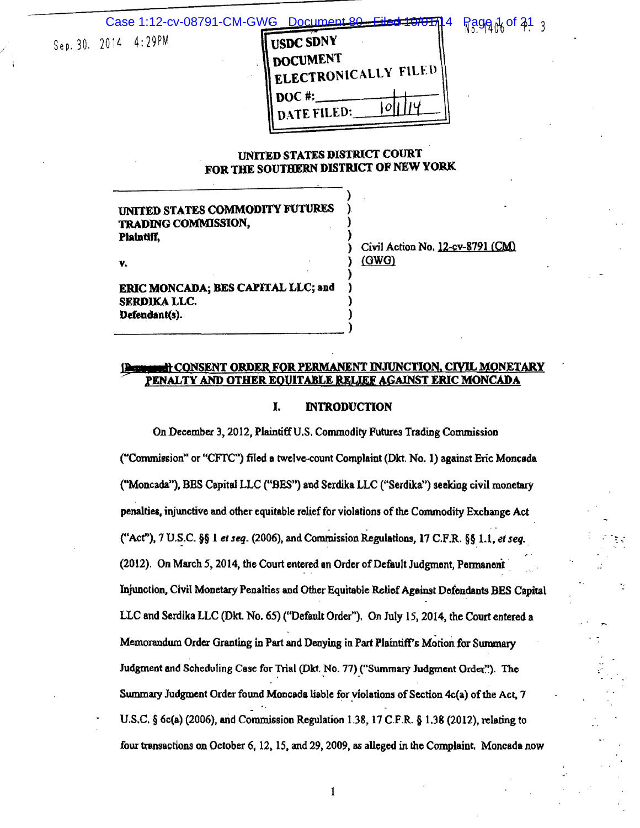#### Case 1:12-cv-08791-CM-GWG Document

# Sep. 30. 2014 4:29PM

| USDC SDNY            |  |
|----------------------|--|
| <b>DOCUMENT</b>      |  |
| ELECTRONICALLY FILED |  |
| $DOC$ #:             |  |
| DATE FILED:          |  |

# **Page & of 21** 3

. . .

# UNITED STATES DISTRICf COURT FOR THE SOUTHERN DISTRICT OF NEW YORK

)

) ) ) ) ) )

# UNITED STATES COMMODITY FUTURES TRADING COMMISSION, ) Plaintiff,

v.

Civil Action No. 12-cv-8791 (CM) {OWO)

ERIC MONCADA; BES CAPITAL LLC; and SERDIKA LLC. Defeodant(s).

-------------------------------->

### **LI CONSENT ORDER FOR PERMANENT INJUNCTION, CIVIL MONETARY** . PENALTY AND OTHER EQUITABLE R.ELJEF AGAINST ERIC MONCADA

#### I. INTRODUCTION

On December 3, 2012, Plaintiff U.S. Commodity Futures Trading Commission ("Commission" or "CFTC") filed a twelve-count Complaint (Dkt. No. 1) against Eric Moncada ("Moncada"), BES Capital LLC ("BES") and Serdika LLC ("Serdika") seeking civil monetary penalties, injunctive and other equitable relief for violations of the Commodity Exchange Act . . ("Act"), 7 U.S.C. §§ 1 *et seq.* (2006), and Commission Regulations, 17 C.F.R. §§ 1.1, *et seq.* (2012). On March 5, 2014, the Court entered an Order of Default Judgment, Permanent Injunction. Civil Monetary Penalties and Other Equitable Relief Against Defendants BES Capital LLC and Serdika LLC (Dkt. No. 65) ("Default Order"). On July 15, 2014, the Court entered a Memorandum Order Granting in Part and Denying in Part Plaintiff's Motion for Summary Judgment and Scheduling Case for Trial (Dkt. No. 77) ("Summary Judgment Order."). The Summary Judgment Order found Moncada liable for violations of Section 4c(a) of the Act, 7 U.S.C.  $\S$  6c(a) (2006), and Commission Regulation 1.38, 17 C.F.R.  $\S$  1.38 (2012), relating to four transactions on October 6, 12, 15, and 29, 2009, as alleged in the Complaint. Moncada now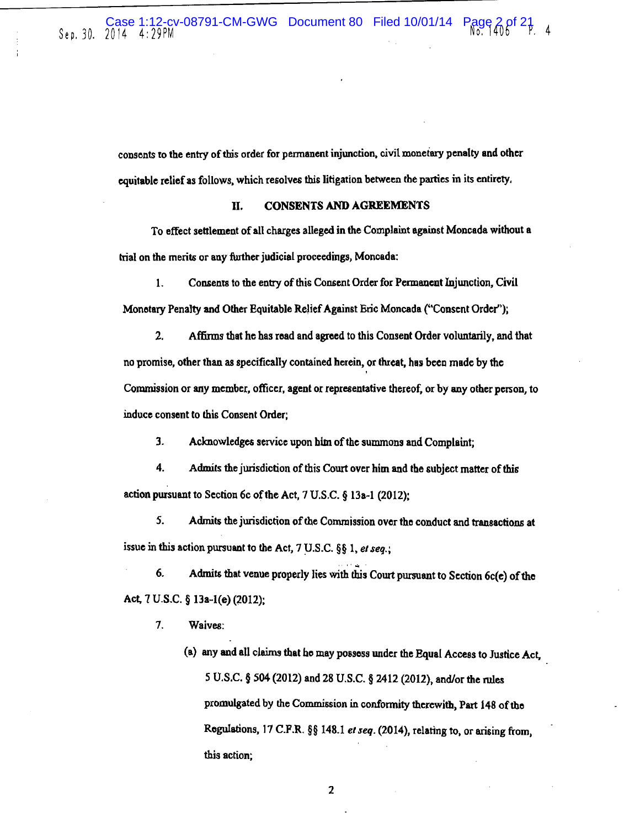consents to the entry of this order for permanent injunction, civil monetary penalty and other equitable relief as follows, which resolves this litigation between the parties in its entirety.

# II. CONSENTS AND AGREEMENTS

To effect settlement of all charges alleged in the Complaint against Moncada without a trial on the merits or any further judicial proceedings, Moncada:

1. Consents to the entry of this Consent Order for Permanent Injunction, Civil Monetary Penalty and Other Equitable Relief Against Eric Moncada ("Consent Order");

2. Affinns that he bas read and agreed to this Consent Order voluntarily, and that no promise, other than as specifically contained herein, or threat, has been made by the ' Commission or any member, officer, agent or representative thereof, or by any other person, to induce consent to this Consent Order;

3. Acknowledges service upon him of the summons and Complaint;

4. Admits the jurisdiction of this Court over him and the subject matter of this action pursuant to Section 6c of the Act,  $7 \text{ U.S.C. }$  § 13a-1 (2012);

*5.* Admits the jurisdictiou of the Commission over the conduct and transactions at issue in this action pursuant to the Act,  $7 \text{ U.S.C.}$  §§ 1, *et seq.*:

6. Admits that venue properly lies with this Court pursuant to Section  $6c(e)$  of the Act, *1 V.S.C.* § 13a-1(e) (2012):

,, ....

- *1.* Waives:
	- (a) any and all claims that ho may possess under the Equal Access to Justice Act, S O.S.C. § 504 (2012) and 28 U.S.C. § 2412 (2012), and/or the rules promulgated by the Commission in conformity therewith, Part 148 of the Regulations, 17 C.P.R. §§ 148.1 *el seq.* (2014), relating to, or arising from, this action;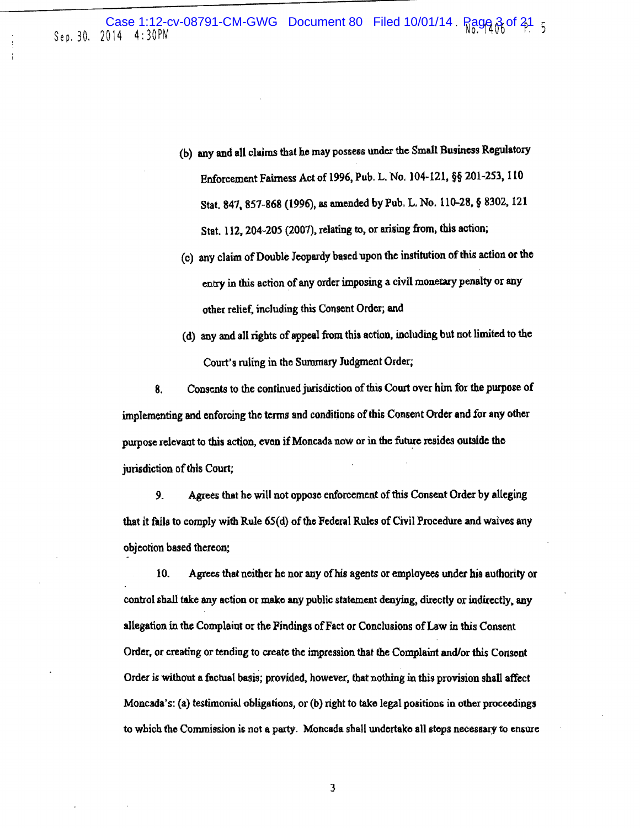Case 1:12-cv-08791-CM-GWG Document 80 Filed 10/01/14 Page 3 of 31 5<br>Sep. 30. 2014 4:30PM

- (b) any and all claims that he may possess under the Small Business Rogulatocy Enforcement Fairness Act of 1996, Pub. L. No. 104·121, §§ 201-2S3, 110 Stat. 847, 857-868 (1996), a& amended by Pub. L. No. 110-28, § 8302, 121 Stat. 112, 204-205 (2007), relating to, or arising from, this action;
- (c) any claim of Double Jeopardy based upon the institution of this action or the entry in this action of any order imposing a civil monetary penalty or any other relief, including this Consent Order; and
- (d) any and all rights of appeal from this action, including but not limited to the Court's ruling in the Summary Judgment Order;

8. Consents to the continued jurisdiction of this Court over him for the purpose of implementing and enforcing the terms and conditions of this Consent Order and for any other purpose relevant to this action, evon if Moncada now or in the future resides outside the jurisdiction of this Court;

9. Agrees that he will not oppose enforcement of this Consent Order by alleging that it fails to comply with Rule 65(d) of the Federal Rules of Civil Procedure and waives any objection based thereon;

10. Agrees that neither be nor any of his agents or employees under his authority or control shall take any action or make any public statement denying) directly or indirectly, any allegation in the Complaint or the Findings of Fact or Conclusions of Law in this Consent Order, or creating or tending to create the impression that the Complaint and/or this Consent Order is without a factual basis; provided. however, that nothing in this provision shall affect Moncada's: (a) testimonial obligations, or (b) right to take legal positions in other proceedings to which the Commission is not a party. Moncada shall undertake all steps necessacy to ensure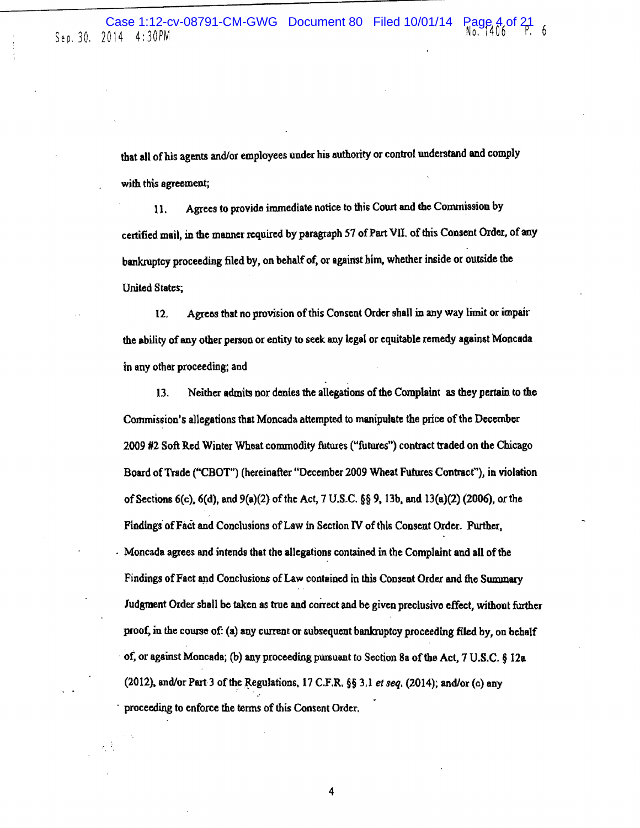that all of his agents and/or employees under his authority or control understand and comply with this agreement;

11. Agrees to provide immediate notice to this Court and the Commission by certified mail, in the manner required by paragraph 57 of Part Vll. of this Consent Order, of any bankruptcy proceeding filed by, on behalf of. or against him, whether inside or outside the United States;

12. Agrcos that no provision of this Consent Order shall in any way limit or impair the ability of any other person or entity to seek any legal or equitable remedy against Moncada in any other proceeding; and

13. Neither admits nor denies the allegations of the Complaint as they pertain to the Commission's allegations that Moncada attempted to manipulate the price of the December *2009* #2 Soft Red Wintor Wheat commodity futures ("futures") contract traded on the Chicago Board of Trade ("CBOT") (hereinafter "December 2009 Wheat Futures Contract"), in violation of Sections  $6(c)$ ,  $6(d)$ , and  $9(a)(2)$  of the Act, 7 U.S.C.  $\S$ § 9, 13b, and 13 $(a)(2)$  (2006), or the Findings of Fact and Conclusions of Law in Section IV of this Consent Order. Further. - Moncada agrees and intends that the allegations contained in the Complaint and all of the Findings of Fact and Conclusions of Law contained in this Consent Order and the Summary Judgment Order shall be taken as true and correct and be given preclusive effect, without further proof, in the course of: (a) any current or subsequent bankruptcy proceeding filed by, on behalf of, or against Moncada; (b) any proceeding pursuant to Section 8a of the Act, 7 U.S.C. § 12a (2012), and/or Part 3 of the Regulations, 17 C.F.R. §§ 3.1 *et seq.* (2014); and/or (c) any proceeding to enforce the terms of this Consent Order,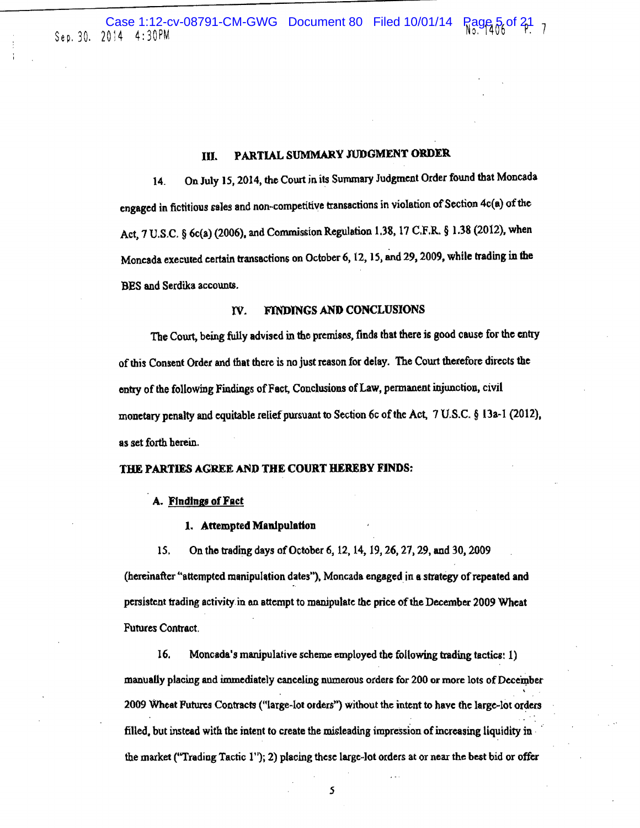Case 1:12-cv-08791-CM-GWG Document 80 Filed 10/01/14  $\frac{25}{100}$  5 of  $\frac{21}{100}$  7

# Ill. PARTIAL SUMMARY JUDGMENT ORDER.

14. On July 15,2014, the Court in its Summary Judgment Order found that Moncada engaged in fictitious sales and non-competitive transactions in violation of Section 4c(a) of the Act, 7 U.S.C. § 6c(a) (2006), and Commission Regulation 1.38, 17 C.F.R. § 1.38 (2012), when Moncada executed certain transactions on October 6, 12, 15, and 29, 2009, while trading in the DES and Serdika accounts.

# IV. FINDINGS AND CONCLUSIONS

Tbe Court, being fully advised in the premises, finds that there is good cause for the entry of Ibis Consent Order and that there is no just reason for delay. The Court therefore directs the entry of the following Findings of Fact, Conclusions of Law, permanent injunction, civil monetary penalty and equitable relief pursuant to Section 6c of the Act,  $7 \text{ U.S.C.}$  § 13a-1 (2012), as set forth herein.

#### THE PARTIES AGREE AND THE COURT HEREBY FINDS:

#### A. Findings of Fact

#### 1. Attempted Manipulation

15. On the trading days of October 6, 12, 14, 19, 26, 27, 29, and 30, 2009

(hereinafter "attempted manipulation dates"), Moncada engaged in a strategy of repeated and persistent trading activity in en attempt to manipulate the price of the December 2009 Wheat Futures Contract.

16. Moncada's manipulative scheme employed the following trading tactics: 1) manually placing and immediately canceling numerous orders for 200 or more lots of December 2009 Wheat Futures Contracts ("large-lot orders") without the intent to have the large-lot orders filled, but instead with the intent to create the misleading impression of increasing liquidity in  $\cdot$ the market ("Trading Tactic 1"); 2) placing these large-lot orders at or near the best bid or offer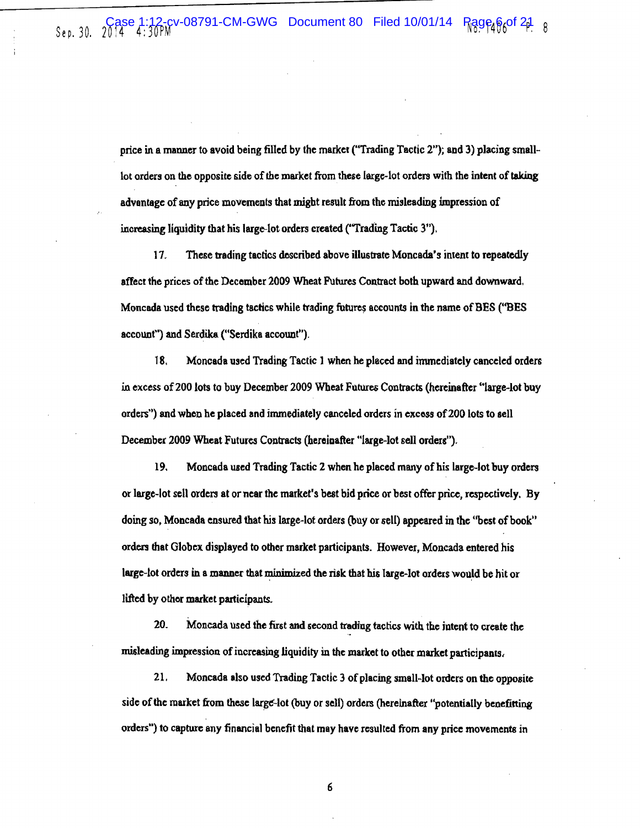price in a manner to avoid being filled by the market ("Trading Tactic 2"); and 3) placing smalllot orders on the opposite side of the market from these large-lot orders with the intent of taking advantage of any price movements that might result from the misleading impression of increasing liquidity that his large-lot orders created {"Trading Tactic 3").

17. These trading tactics described above illustrate Moncada's intent to repeatedly affect the prices of the December 2009 Wheat Futures Contract both upward and downward. Moncada used these trading tactics while trading futures accounts in the name of BES ("BES account") and Serdika ("Serdika account").

18. Moncada used Trading Tactic 1 when he placed and immediately canceled orders in excess of 200 lots to buy December 2009 Wheat Futures Contracts (hereinafter "large-lot buy orders'') and when he placed and immediately canceled orders in excoss of200 lots to sell December 2009 Wheat Futures Contracts (hereinafter "large-lot sell orders").

19. Moncada used Trading Tactic 2 when he placed many of his large-lot buy orders or large-lot sell orders at or near the market's best bid price or best offer price, respectively. By doing so. Moncada ensured that his large~lot orders (buy or sell) appeared in the "best of book" orders that Globex displayed to other market participants. However, Moncada entered his large-lot orders in a manner that minimized the risk that his large-lot orders would be hit or lifted by othor market participants.

20. Moncada used the first and second trading tactics with the jntent to create the misleading impression of increasing liquidity in the maxket to other market participants,

21. Moncada also used Trading Tactic 3 of placing small~lot orders on the opposite side of the market from these large-lot (buy or sell) orders (hereinafter "potentially benefitting orders") to capture any financial benefit that may have resulted from any price movements in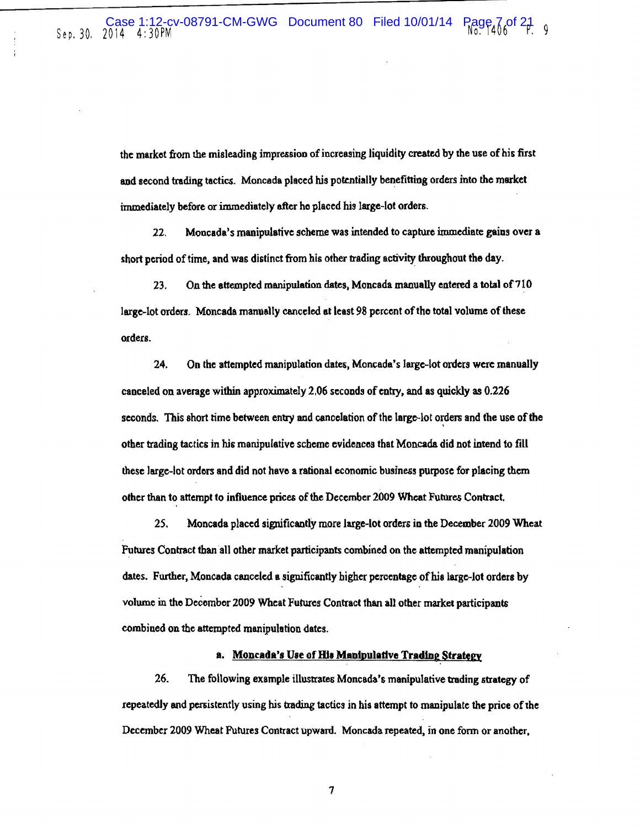the market from the misleading impression of increasing liquidity created by the use of his first and second trading tactics. Moncada placed his potentially benefitting orders into the market immediately before or immediately after he placed his large-lot orders.

22. Moncada's manipulative scheme was intended to capture immediate gains over a short period of time, and was distinct from his other trading activity throughout the day.

23. On the attempted manipulation dates, Moncada manually entered a total of  $710$ large-lot orders. Moncada manually canceled at least 98 percent of the total volume of these orders.

24. On the attempted manipulation dates, Moncada's large-lot otders were manually canceled on average within approximately 2.06 seconds of entry, and as quickly as 0.226 seconds. This short time between entry and cancelation of the large-lot orders and the use of the other trading tactics in his manipulative scheme evidences that Moncada did not intend to fill these large-lot orders and did not have a rational economic business purpose for placing them other than to attempt to influence prices of the December 2009 Wheat Futures Contract.

*25,* Moncada placed significantly more large~lot orders in the December 2009 Wheat Futures Contract than all other market participants combined on the attempted manipulation dates. Further, Moncada canceled a significantly higher percentage of his large-lot orders by volume in the Deecmbor 2009 Wheat Futures Contract than all other market participant& combined on the attempted manipulation dates.

#### a. Moncada's Use of His Manipulative Trading Strategy

26. The following example illustrates Moncada's manipulative trading strategy of repeatedly and persistently using his trading tactics in his attempt to manipulate the price of the December 2009 Wheat Futures Contract upwanl. Moncada repeated, in one form or another,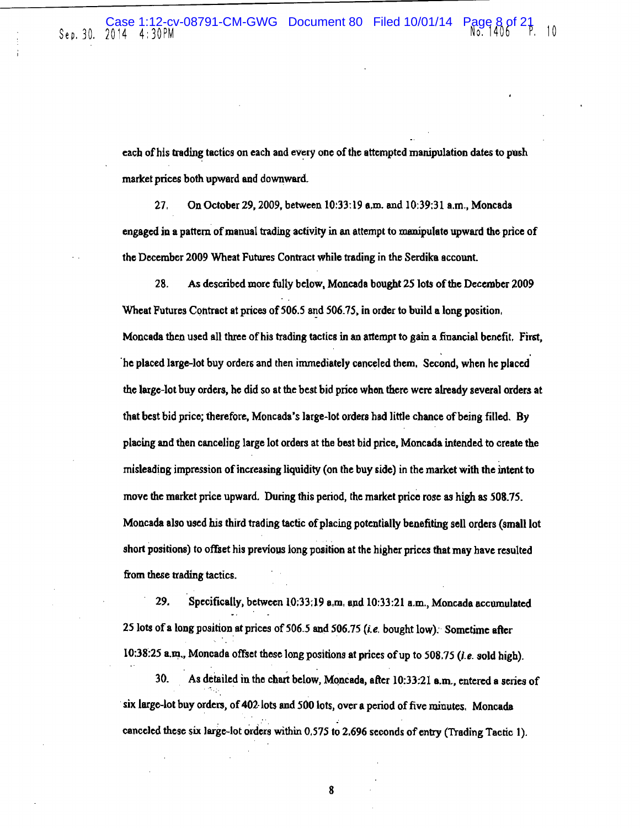each of his trading tactics on each and every one of the attempted manipulation dates to push market prices both upward and downward.

27. On October 29,2009, between 10:33:19 a.m. and 10:39:31 a.m., Moncada engaged jn a pattern of manual trading activity in an attempt to manipulato upward the price of the December 2009 Wheat Futures Contract while trading in the Serdika account.

28. As described more fully below, Moncada bought 25lots of the December 2009 Wheat Futures Contract at prices of 506.5 and 506.75, in order to build a long position, Moncada then used all three of his trading tactics in an attempt to gain a financial benefit. First, ·he placed large-lot buy orders and then immediately canceled them, Second, when he placed the large-lot buy orders, he did so at the best bid price whon there were already several orders at that best bid price; therefore, Moncada's large-lot orders had little chance of being filled. By placing and then canceling large lot orders at the best bid price, Moncada intended to create the misleading impression of increasing liquidity (on the buy side) in the market with the intent to move the market price upward. During this period, the market price rose as high as 508.75. Moncada also used his third trading tactic of placing potentially benefiting sell orders (small lot short positions) to offset his previous long position at the higher prices that may have resulted from these trading tactics.

29. Specifically, between 10:33:19 a,m, and 10:33:21 a.m., Moncada accumulated 25 lots of a long position at prices of 506.5 and 506.75 (*i.e.* bought low): Sometime after 10:38:25 a.m., Moncada offset those long positions at prices of up to 508.75 (i.e. sold high).

30. As detailed in tho chart below, MQncada, after 10:33:21 a.m., entered a series of six large-lot buy orders, of 402 lots and 500 lots, over a period of five minutes. Moncada canceled these six large-lot orders within 0.575 to 2.696 seconds of entry (Trading Tactic 1).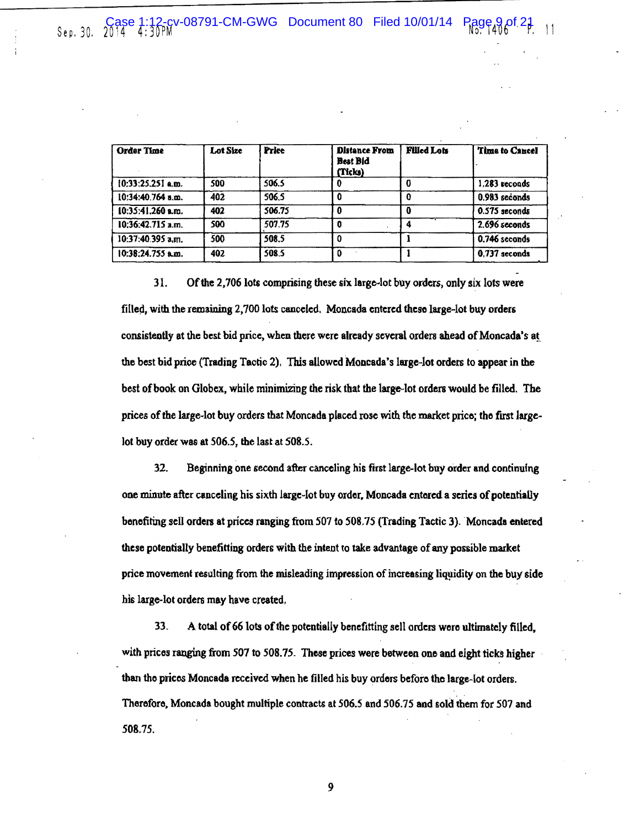| Order Time          | Lot Size | <b>Price</b> | <b>Distance From</b><br><b>Best Bid</b><br>(Ticks) | <b>Filled Lots</b> | Time to Cancel  |
|---------------------|----------|--------------|----------------------------------------------------|--------------------|-----------------|
| $10:33:25.251$ a.m. | 500      | 506.5        |                                                    |                    | 1,283 recouds   |
| 10:34:40.764 a.m.   | 402      | 506.5        |                                                    |                    | 0.983 seconds   |
| $10:35:41,260$ a.m. | 402      | 506.75       |                                                    |                    | 0.575 seconds   |
| $10:36:42.715$ a.m. | 500      | 507.75       |                                                    |                    | 2.696 seconds   |
| 10:37:40.395 a.m.   | 500      | 508.5        |                                                    |                    | 0.746 seconds   |
| 10:38:24.755 a.m.   | 402      | 508.5        |                                                    |                    | $0.737$ seconds |

31. Ofthe 2,706lots comprising these six large-lot buy orders, only six lots were filled, with the remaining 2,700 lots canceled. Moncada entered theso large-lot buy orders consistently at the best bid price, when there were already several orders ahead of Moncada's at the best bid price (Trading Tactic 2). This allowed Moncada's large-lot orders to appear in the best of book on Globex, while minimizing the risk that the large-lot orders would be filled. The prices of the large-lot buy orders that Moncada placed rose with the market price; the first largelot buy order was at *506.5,* the last at 508.5.

32. Beginning one second after canceling his first large--lot buy order and continufng one minute after canceling his sixth large-lot buy order. Moncada entered a series of potentiaUy bonefiting sell orders at prices ranging from 507 to 508.75 (Trading Tactic 3). Moncada entered these potentially benefitting orders with the intent to take advantage of any possible market price movement resulting from the misleading impression of increasing liquidity on the buy side his large-lot orders may have created.

33. A total of 66 lots of the potentially benefitting sell orders were ultimately filled, with prices ranging from 507 to 508.75. These prices were between one and eight ticks higher than tho prices Moncada received when he filled his buy orders beforo tho large-lot orders. Therefore, Moncada bought multiple contracts at *506.5* and *506.15* and sold them for 507 and 508.75.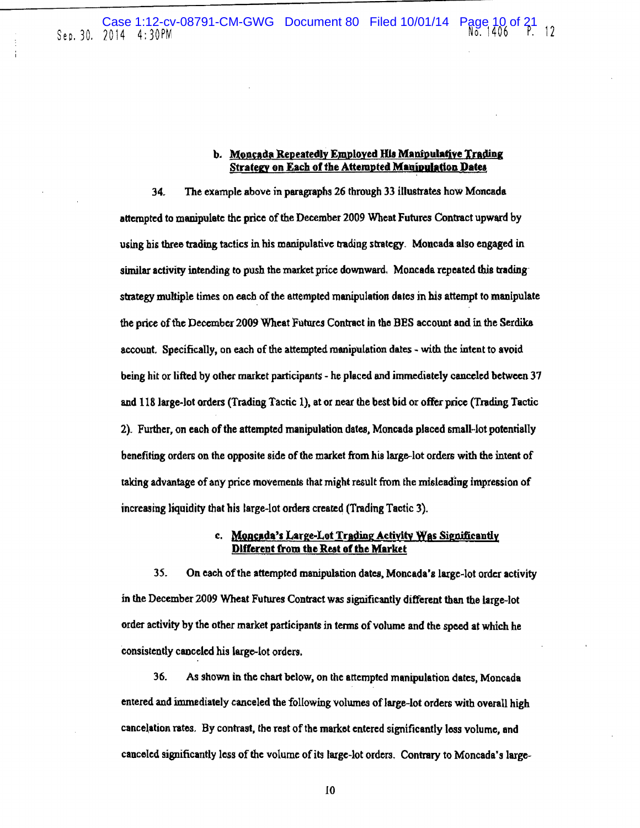#### b. Moncada Repeatedly Employed His Manipulative Trading Strategy on Each of the Attempted Manipulation Dates

34. The example above in paragraphs 26 through 33 illustrates how Moncada attempted to manipulate the price of the December 2009 Wheat Futures Contract upward by using his three trading tactics in his manipulative trading strategy. Moncada also engaged in similar activity intending to push the market price downward. Moncada repeated this trading strategy multiple times on each of the attempted manipulation dates in his attempt to manipulate the price of tbe December 2009 Wheat Futures Contract in the BBS account and in the Serdika account. Specifically, on each of the attempted manipulation dates - with the intent to avoid being hit or lifted by other market participants - he placed and immediately canceled between 37 and 118 large-lot orders (Trading Tactic 1), at or near the best bid or offer price (Trading Tactic 2). Further. on each of the attempted manipulation dates, Moncada placed small-lot potentially benefiting orders on the opposite side of the market from his large-lot orders with the intent of taking advantage of any price movements that might result from lhe misleading impression of increasing liquidity that his large-lot orders created (Trading Tactic 3).

# c. Moncada's Large-Lot Trading Activity Was Significantly Different from the Rest of the Market

35. On each of the attempted manipulation dates, Moncada's large-lot order activity in the December 2009 Wheat Futures Contract was significantly different than the large-lot order activity by the other market participants in tenns of volume and the speed at which he consistently canceled his large-lot orders.

36. As shown in the chart below, on the attempted manipulation dates. Moncada entered and immediately canceled the following volwnes of large-lot orders with overall high cancelation rates. By contrast, the rest of the market entered significantly less volume, and canceled significantly loss of the volume of its large-lot orders. Contrary to Moncada's large-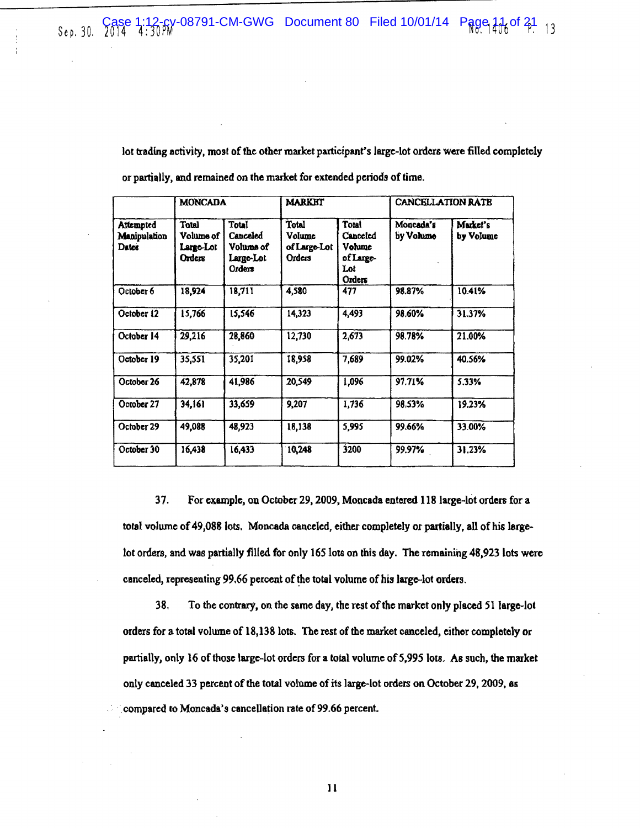lot trading activity, most of the other market participant's large-lot orders were filled completely or partially, and remained on the market for extended periods of time.

|                                    | <b>MONCADA</b>                            |                                                       | <b>MARKET</b>                                    |                                                           | CANCELLATION RATE      |                       |
|------------------------------------|-------------------------------------------|-------------------------------------------------------|--------------------------------------------------|-----------------------------------------------------------|------------------------|-----------------------|
| Attempted<br>Manipulation<br>Datex | Total<br>Volume of<br>Large-Lot<br>Orders | Total<br>Canceled<br>Voluma of<br>Large-Lot<br>Orders | <b>Total</b><br>Volume<br>of Large-Lot<br>Orders | Total<br>Canceled<br>Volume<br>of Large-<br>Lot<br>Orders | Moncada's<br>by Volumo | Market's<br>by Volume |
| October 6                          | 18,924                                    | 18,711                                                | 4,580                                            | 477                                                       | 98.87%                 | 10.41%                |
| October 12                         | 15,766                                    | 15,546                                                | 14,323                                           | 4,493                                                     | 98.60%                 | 31.37%                |
| October 14                         | 29,216                                    | 28,860                                                | 12,730                                           | 2,673                                                     | 98.78%                 | 21.00%                |
| October 19                         | 35,551                                    | 35,201                                                | 18,958                                           | 7,689                                                     | 99.02%                 | 40.56%                |
| October 26                         | 42,878                                    | 41,986                                                | 20,549                                           | 1,096                                                     | 97.71%                 | 5.33%                 |
| October 27                         | 34,161                                    | 33,659                                                | 9,207                                            | 1,736                                                     | 98,53%                 | 19.23%                |
| October 29                         | 49,088                                    | 48,923                                                | 18,138                                           | 5,995                                                     | 99.66%                 | 33.00%                |
| October 30                         | 16,438                                    | 16,433                                                | 10,248                                           | 3200                                                      | 99.97%                 | 31.23%                |

37. For example, on October 29, 2009, Moncada entered 118 large-lot orders for a total volume of 49,088 lots. Moncada canceled, either completely or partially, all of his largelot orders, and was partially filled for only 165 lots on this day. The remaining 48,923 lots were canceled, representing 99.66 percent of the total volume of his large-lot orders.

38. To the contrary, on the same day, the rest of the market only placed 51 large-lot orders for a total volume of 18,138lots. The rest of the market canceled, either completely or partially, only 16 of those large-lot orders for a total volume of5,995 lois. As such, the market only canceled 33 percent of the total volume of its large-lot orders on October 29, 2009, as compared to Moncada's cancellation rate of 99.66 percent.

Jl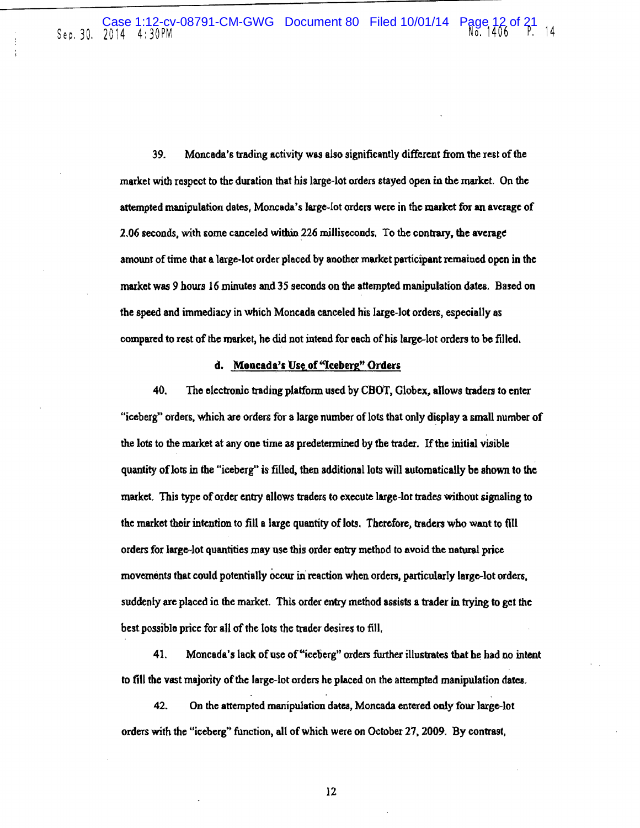39. Moncada's trading activity was also significantly different from the rest of the market with respect to the duration that his large-lot orders stayed open in the market. On the attempted manipulation dates, Moncada's large-lot orders were in the market for an average of 2.06 seconds, with some canceled within 226 milliseconds. To the contrary, the average amount of time that a large· lot order placed by anolher market participant remained open in the market was 9 hours 16 minutes and 35 seconds on the attempted manipulation dates. Based on the speed and immediacy in which Moncada canceled his large-lot orders, especially as compared to rest of the market, he did not intend for each of his large-lot orders to be tilled.

#### d. Moncada's Use of "Iceberg" Orders

40. Tho electronic trading platform used by CBOT, Globex, allows traden to enter "iceberg" orders, which are orders for a large number of lots that only display a small number of the lots to the market at any one time as predetermined by the trader. If the initial visible quantity of lots in the "iceberg" is filled, then additional lots will automatically be shown to the market. This type of order entry allows traders to execute large-lot trades without signaling to the market their intention to fill a large quantity of lots. Therefore, traders who want to fill orders for large~ lot quantities may use this order entry method to avoid the natural price movements that could potentially occur in reaction when ordets, particularly large-lot orders. suddenly are placed in lhe market. This order entry method assists a trader in trying to get the best possible price for all of the lots the trader desires to fill.

41. Moncada's lack of use of"iceberg" orders further illustrates that he had no intent to fill the vast majority of the large-lot orders he placed on the attempted manipulation dates.

42. On the attempted manipulation dates, Moncada entered only four large-lot orders with the "iceberg" function, all of which were on October 27, 2009. By contrast,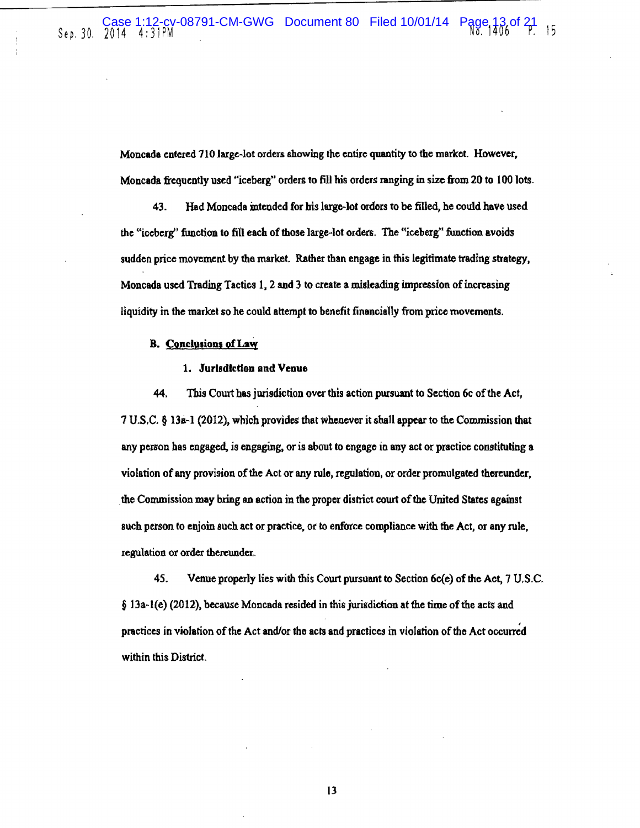Moncada entered 710 large-lot orders showing the entire quantity to the market. However, Moncada frequently used "iceberg" orders to fill his orders ranging in size from 20 to 100 lots.

43. Had Moncada intended for his largo-lot ordors to be filled, he could have used the "iceberg" function to fill each of those large-lot orders. The "iceberg" function avoids sudden price movement by the market. Rather than engage in this legitimate trading strategy, Moncada used Trading Tactics 1. 2 and 3 to create a misleading impression of increasing liquidity in the market so he could attempt to benefit financially from price movcmonts.

#### B. Conclusions of Law

#### 1. Jurisdiction and Venue

44. This Cowt bas jurisdiction over this action pursuant to Section 6c of the Act,  $17 \text{ U.S. C. }$  § 13a-1 (2012), which provides that whenever it shall appear to the Commission that any person bas engaged, is engaging, or is about to engage in any act or practice constituting a violation of any provision of the Act or any rule, regulation, or order promulgated thereunder, the Commission may bring an action in the proper district court of the United States against such person to enjoin such act or practice. or to enforce compliance with the Act, or any rule. regulation or order thereunder.

45. Venue properly lies with this Court pursuant to Section 6c(e) of the Act, 1 U.S.C. § l3a.-l(e) (2012). because Moncada resided in this jurisdiction at the time of the acts and practices in violation of the Act and/or the acts and practices in violation of the Act occurred within this District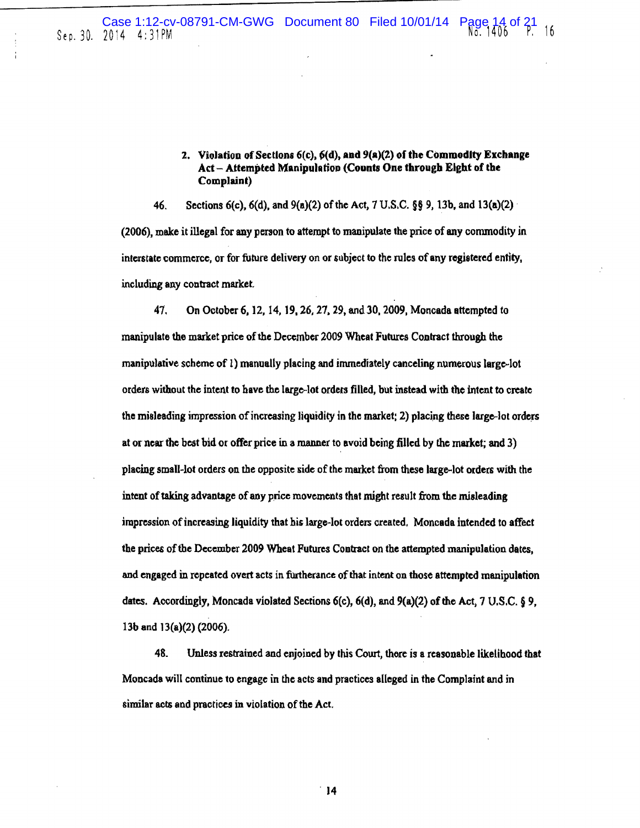# 2. Violation of Sections 6(c),  $6(d)$ , and  $9(a)(2)$  of the Commodity Exchange Act - Attempted Manipulation (Counts One through Eight of the Complaint)

46. Sections 6(c), 6(d), and 9(a)(2) of the Act, 7 U.S.C. §§ 9, l3b, and 13(a)(2) · (2006), meke it illegal for any person to attempt to manipulate the price of any commodity in interstate commerce, or for future delivery on or subject to the rules of any registered entity, including any contract market.

*41.* On October 6, 12, 14, 19, 26, *21.* 29, and30, 2009, Moncada attempted to manipulate the market price of the December 2009 Wheat Futures Contract through the manipulative scheme of 1) manually placing and immediately canceling numerous large-lot orders without the intent to have the large-lot orders filled, but instead with the intent to create the misleading impression of increasing liquidity in the market;  $2$ ) placing these large-lot orders at or ncar the beat bid or offer price in a manner to avoid being filled by the market; and 3) placing small-lot orders on the opposite side of the market from these large-lot orders with the intent of taking advantage of any price movements that might result from the misleading impression of increasing liquidity that his large-lot orders created. Moncada intended to affect the prices of the December 2009 Wheat Futures Contract on the attempted manipulation dates, and engaged in repeated overt acts in furtherance of that intent on those attempted manipulation dates. Accordingly, Moncada violated Sections 6(c), 6(d), and 9(a)(2) of the Act, 7 U.S.C. § 9, 13b and 13(a)(2) {2006).

48. Unless restrained and enjoined by this *Court,* thore is a reasonable likelihood that Moncada will continue to engage in the acts and practices alleged in the Complaint and in similar acts and practices in violation of the Act.

. 14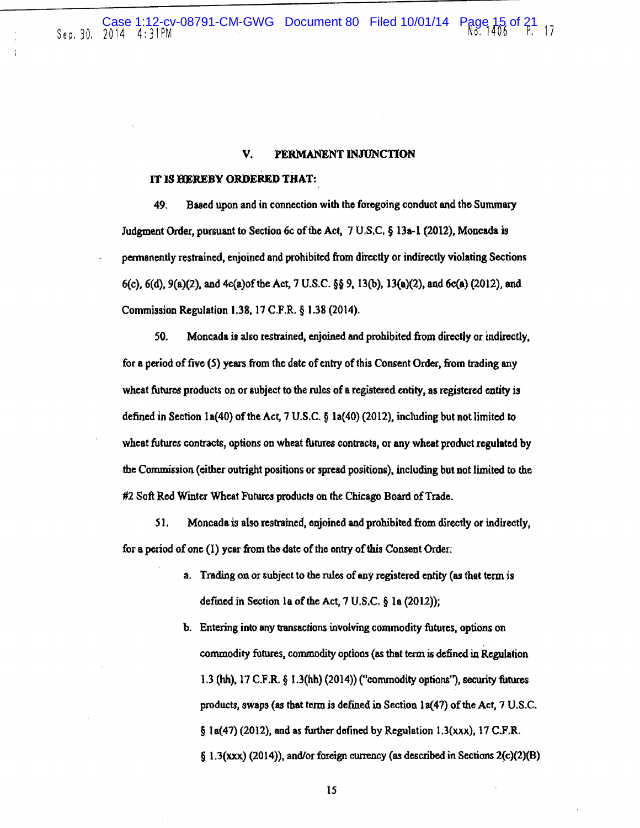#### V. PERMANENT INJUNCTION

#### lT lS HEREBY ORDERED THAT:

49. Based upon and in connection with the foregoing conduct and the Summary Judgment Order, pursuant to Section 6c of the Act,  $7 \text{ U.S.C.}$  § 13a-1 (2012), Moncada is permanently restrained, enjoined and prohibited from directly or indirec1ly violating Sections 6(c), 6(d), 9(a)(2), and 4c(a)of the Act, 7 U.S.C. §§ 9, 13(b), 13(a)(2), and 6c(a) (2012), and Commission Regulation 1.38, 17 C.F.R. § 1.38 (2014).

50. Moncada is also restrained. enjoined and prohibited from directly or Indirectly, for a period of five (S) years from the date of entry of this Consent Order. from trading any wheat futures products on or subject to the rules of a registered entity, as registered entity is defined in Section la(40) of the Acr, 7 U.S.C. § la(40) (2012), including but not Jimited to wheat futures contracts, options on wheat futures contracts, or any wheat product regulated by the Commission (either outright positions or spread positions). including but not limited to the #2 Soft Red Winter Wheat Futures products on the Chicago Board of Trade.

51. Moncada is also restrained, onjoined and prohibited from directly or indirectly, for a period of one  $(1)$  year from the date of the entry of this Consent Order:

- a. Trading on or subject to the rules of any registered entity (as that term is defined in Section 1a of the Act,  $7 \text{ U.S.C. }$  § 1a (2012));
- b. Entering into any transactions involving commodity futures, options on commodity futures, commodity options (as that term is defined in Regulation 1.3 (hh), 17 C.F.R. § 1.3(hh) (2014)) (•'commodity options"), security futures products, swaps (as that term is defined in Section 1a(47) of the Act,  $7 \text{ U.S.C.}$  $§$  la(47) (2012), and as further defined by Regulation 1.3(xxx), 17 C.F.R.  $\S$  1.3(xxx) (2014)), and/or foreign currency (as described in Sections 2(c)(2)(B)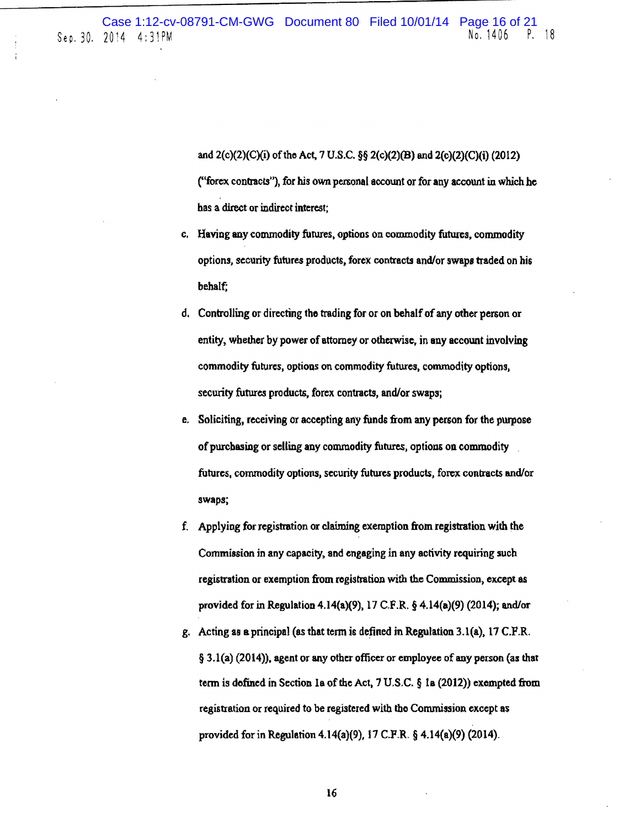and 2(c)(2)(C)(i) of tho Act, 7 U.S.C. §§ 2(c)(2)(B) and 2(e)(2)(C)(i) (2012) ("forex contracts"), for his own personal account or for any account in which he bas a direct or indirect interest;

- c. Having any commodity futures. options on commodity futures, commodity options, security futures products, forex contracts and/or swaps traded on his behalf;
- d. Controlling or directing tho trading for or on behalf of any other person or entity, whether by power of attomey or otherwise, in any account involving commodity futures, options on commodity futures, commodity options, security futures products, forex contracts, and/or swaps;
- e, Soliciting, receiving or accepting any funds from any person for the purpose of purchasing or selling any commodity futures, options on commodity futures, commodity options, security futures products, forex contracts and/or swaps;
- f. Applying for registration or claiming exemption from registration with the Commission in any capacity. and engaging in any activity requiring such registration or exemption from registration with the Commission, except as provided for in Regulation 4.14(a)(9), 17 C.F.R. § 4.14(a)(9) (2014); and/or
- g. Acting as a principal (as that term is defined in Regulation 3.1(a), 17 C.F.R. § 3.1(a) (2014}), agent or any other officer or employee of any person (as that term is dofined in Section la of the Act. 7 U.S.C. § la (2012)) exempted from registration or required to be registered with the Commission except as provided for in Regulation 4.14(a)(9), 17 C.P.R. § 4.14(a}(9) (2014}.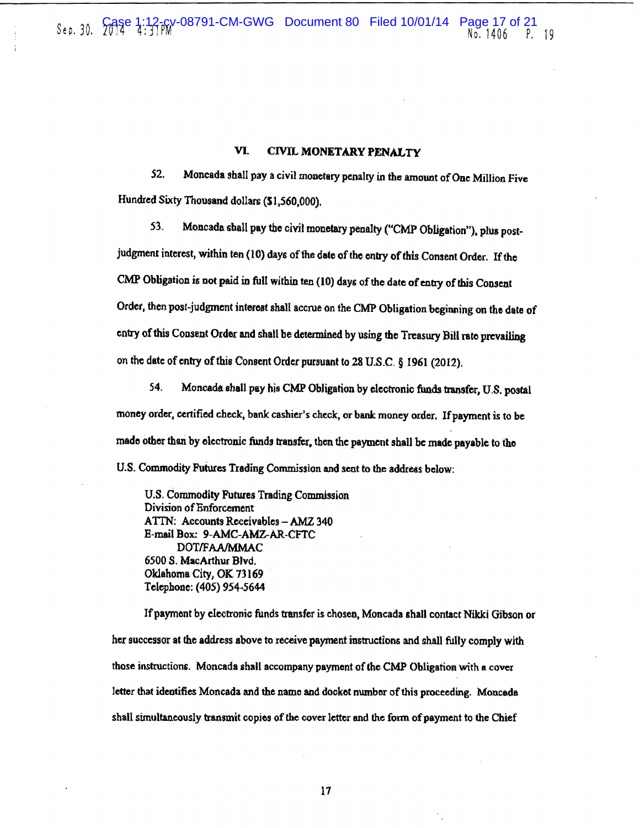### VI. CIVIL MONETARY PENALTY

52. Moncada shall pay a civil monetary penalty in the amount of One Million Five Hundred Sixty Thousand dollars (\$1.560,000),

53, Moncada shall pay the civil monetary penalty ("CMP Obligation"). plus post~

judgment interest, within ten (10) days of the date of the entry of this Consent Order. If the CMP Obligation is not paid in full within ten (10) days of the date of entry of this Consent Order, then post-judgment interest shall accrue on the CMP Obligation beginning on the date of entry of this Consent Order and shall be determined by using the Treasury Bill rate prevailing on the date of entry of this Consent Order pursuant to 28 U.S.C. § 1961 (2012),

54. Moncada shall pay his CMP Obligation by electronic funds tnnsfer, U.S. postal money order, certified check. bank cashier's check, or bank money order. If payment is to be made other than by electronic funds transfer, then the payment shall be made payable to the U.S. Commodity Futures Trading Commission and sent to the address below:

U.S. Commodity Futures Trading Commission Division of Enforcement A TIN: Accounts Receivables - *AMZ* 340 E-mail Box: 9-AMC-AMZ-AR-CFTC DOTIFAAIMMAC 6500 S. MacArthur Blvd. Oklahoma City, OK 73169 Telephone: (405) 954·5644

If payment by electronic funds transfer is chosen. Moncada shall contact Nikki Gibson or her successor at the address above to receive payment instructions and shall fully comply with those instructions. Moncada shall accompany payment of the CMP Obligation with a cover letter that identifies Moncada and the name and docket number of this proceeding. Moncada shall simultaneously transmit copies of the cover letter and the form of payment to the Chief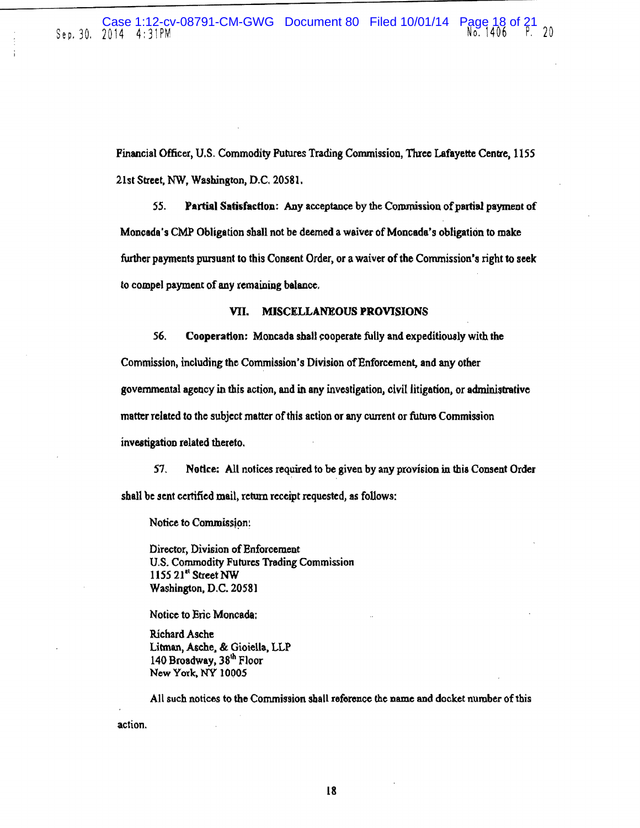Financial Officer, U.S. Commodity Futures Trading Conunission, Three Lafayette Centre, 1155 21st Street, NW, Washington, D.C. 20581.

*SS.* Partial Satisfaction: Any acceptance by the Commission of partial payment of Moncada's CMP Obligation shall not be deemed a waiver of Moncada's obligation to make further payments pursuant to this Consent Order, or a waiver of the Commission's right to seek to compel payment of any remaining balance.

#### VII. MISCELLANEOUS PROVISIONS

56. Cooperation: Moncada shall cooperate fully and expeditiously with the Commission, including the Commission's Division of Enforcement, and any other governmental agency in this action, and in any investigation, civil litigation, or administrative matter related to the subject matter of this action or any current or future Commission investigation related thereto.

*S1,* Notice: All notices required to be given by any provision in this Consent Order shall be sent certified mail, return receipt requested, as follows:

Notice to Commission:

Director, Division of Enforcement U.S. Commodity Futures Trading Commission 1155 21<sup>at</sup> Street NW Washington, D.C. 20581

Notice to Eric Moncada:

Richard Asche Litman, Asche. & Gioiella. LLP 140 Broadway, 38<sup>th</sup> Floor New York, NY 10005

action. All such notices to the Commission shall reference the name and docket number of this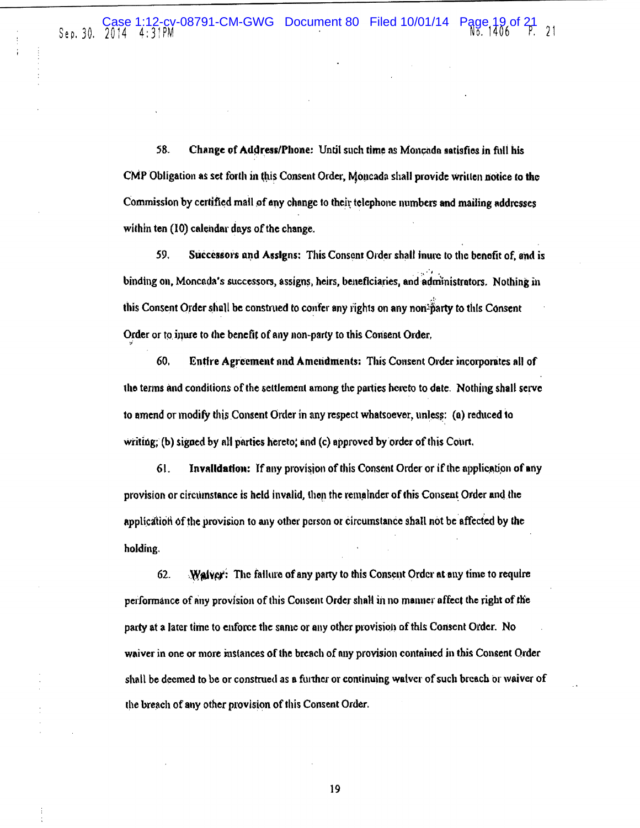58. Change of Address/Phone: Until such time as Moncada satisfies in full his CMP Obligation as set forth in this Consent Order, Moncada shall provide written notice to the Commission by certified mall of any change to their telephone numbers and mailing addresses within ten  $(10)$  calendar days of the change.

59. Successors and Assigns: This Consent Order shall inure to the benefit of, and is tinding on, Moncada's successors, assigns, heirs, beneficiaries, and administrators. Nothing in this Consent Order shall be construed to confer any rights on any non-party to this Consent Order or to inure to the benefit of any non-party to this Consent Order. "

60. Entire Agreement and Amendments: This Consent Order incorporates all of the terms and conditions of the settlement among the parties hereto to date. Nothing shall serve to amend or modify this Consent Order in any respect whatsoever, unless: (a) reduced to writing; (b) signed by all parties hereto; and  $(c)$  approved by order of this Court.

61. Invalidation: If any provision of this Consent Order or if the application of any provision or circumstance is held invalid, then the remainder of this Consent Order and the application of the provision to any other person or circumstance shall not be affected by the holding.

62. Walver: The failure of any party to this Consent Order at any time to require performance of any provision of this Consent Order shall in no manner affect the right of the party at a later time to enforce the snme or any other provlsiol) of this Consent Otder. No waiver in one or more instances of the breach of any provision contained in this Consent Order shall be deemed to be or construed as a further or continuing waiver of such breach or waiver of the breach of any other provision of this Consent Order.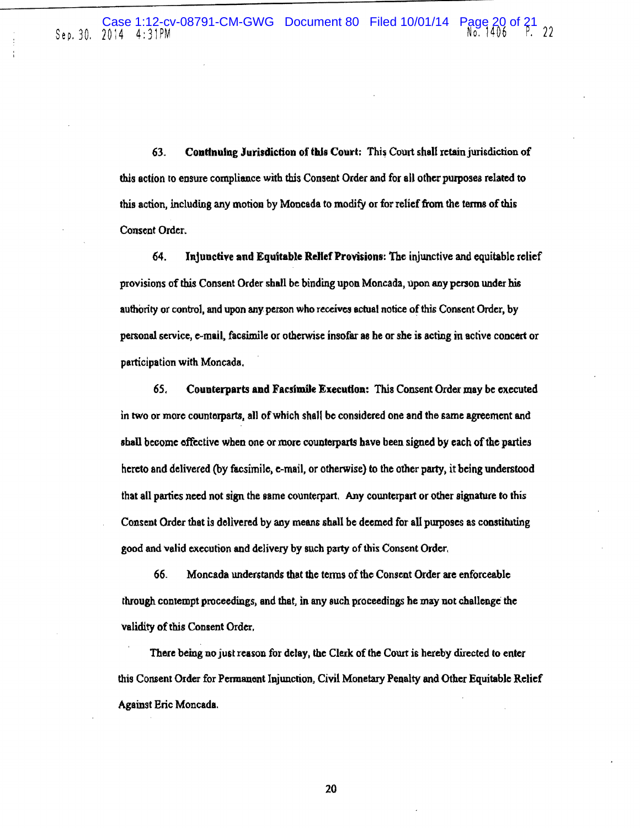63. Continuing Jurisdiction of this Court: This Court shall retain jurisdiction of this action ro ensure compliance with this Consent Order and for all other purposes related to this action, including any motion by Moncada to modify or for relief from the terms of this Consent Order.

64. Injunctive and Equitable Relief Provisions: The injunctive and equitable relief provisions of this Consent Order shall be binding upon Moncada, upon any person under his authority or control, and upon any person who receives actual notice of this Consent Order, by personal service, e-mail, facsimile or otherwise insofar as he or she is acting in active concert or participation with Moncada.

65. Counterparts and Facsimile Execution: This Consent Order may be executed in two or more counterparts, all of which shall be considered one and the same agreement and shall become effective when one or more counterparts have been signed by each of the parties hereto and delivered (by facsimile, e-mail, or otherwise) to the other party, it being understood that all parties need not sign the same counterpart. Any counterpart or other signature to this Consent Order that is delivered by any means shall be deemed for all purposes as constituting good and valid execution and delivery by such party of this Consent Order.

66. Moncada understands that the tenus of the Consent Order are enforceable through contempt proceedings, and lhat, in any Buch proceedings he may not challenge the validity of this Consent Order.

There being no just reason for delay, the Clerk of the Court is hereby directed to enter this Consent Order for Permanent Injunction, Civil Monetary Penalty and Other Equitable Relief Against Eric Moncada.